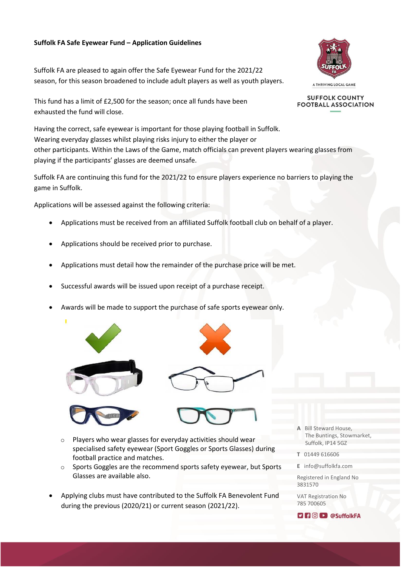## **Suffolk FA Safe Eyewear Fund – Application Guidelines**

Suffolk FA are pleased to again offer the Safe Eyewear Fund for the 2021/22 season, for this season broadened to include adult players as well as youth players.

This fund has a limit of £2,500 for the season; once all funds have been exhausted the fund will close.

Having the correct, safe eyewear is important for those playing football in Suffolk. Wearing everyday glasses whilst playing risks injury to either the player or other participants. Within the Laws of the Game, match officials can prevent players wearing glasses from playing if the participants' glasses are deemed unsafe.

Suffolk FA are continuing this fund for the 2021/22 to ensure players experience no barriers to playing the game in Suffolk.

Applications will be assessed against the following criteria:

- Applications must be received from an affiliated Suffolk football club on behalf of a player.
- Applications should be received prior to purchase.
- Applications must detail how the remainder of the purchase price will be met.
- Successful awards will be issued upon receipt of a purchase receipt.
- Awards will be made to support the purchase of safe sports eyewear only.









- o Players who wear glasses for everyday activities should wear specialised safety eyewear (Sport Goggles or Sports Glasses) during football practice and matches.
- o Sports Goggles are the recommend sports safety eyewear, but Sports Glasses are available also.
- Applying clubs must have contributed to the Suffolk FA Benevolent Fund during the previous (2020/21) or current season (2021/22).



**SUFFOLK COUNTY FOOTBALL ASSOCIATION** 

- **A** Bill Steward House, The Buntings, Stowmarket, Suffolk, IP14 5GZ
- **T** 01449 616606
- **E** info@suffolkfa.com

Registered in England No 3831570

VAT Registration No 785 700605